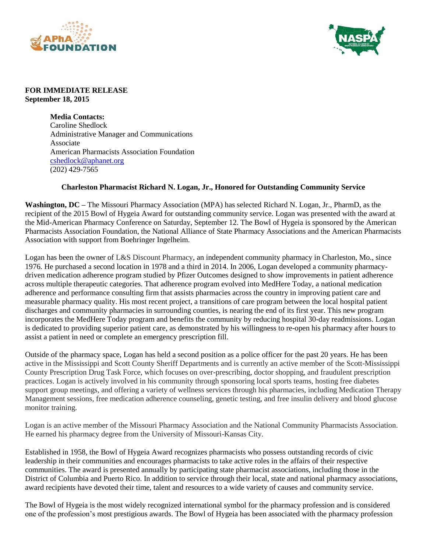



## **FOR IMMEDIATE RELEASE September 18, 2015**

**Media Contacts:** Caroline Shedlock Administrative Manager and Communications Associate American Pharmacists Association Foundation [cshedlock@aphanet.org](mailto:cshedlock@aphanet.org) (202) 429-7565

## **Charleston Pharmacist Richard N. Logan, Jr., Honored for Outstanding Community Service**

**Washington, DC –** The Missouri Pharmacy Association (MPA) has selected Richard N. Logan, Jr., PharmD, as the recipient of the 2015 Bowl of Hygeia Award for outstanding community service. Logan was presented with the award at the Mid-American Pharmacy Conference on Saturday, September 12. The Bowl of Hygeia is sponsored by the American Pharmacists Association Foundation, the National Alliance of State Pharmacy Associations and the American Pharmacists Association with support from Boehringer Ingelheim.

Logan has been the owner of L&S Discount Pharmacy, an independent community pharmacy in Charleston, Mo., since 1976. He purchased a second location in 1978 and a third in 2014. In 2006, Logan developed a community pharmacydriven medication adherence program studied by Pfizer Outcomes designed to show improvements in patient adherence across multiple therapeutic categories. That adherence program evolved into MedHere Today, a national medication adherence and performance consulting firm that assists pharmacies across the country in improving patient care and measurable pharmacy quality. His most recent project, a transitions of care program between the local hospital patient discharges and community pharmacies in surrounding counties, is nearing the end of its first year. This new program incorporates the MedHere Today program and benefits the community by reducing hospital 30-day readmissions. Logan is dedicated to providing superior patient care, as demonstrated by his willingness to re-open his pharmacy after hours to assist a patient in need or complete an emergency prescription fill.

Outside of the pharmacy space, Logan has held a second position as a police officer for the past 20 years. He has been active in the Mississippi and Scott County Sheriff Departments and is currently an active member of the Scott-Mississippi County Prescription Drug Task Force, which focuses on over-prescribing, doctor shopping, and fraudulent prescription practices. Logan is actively involved in his community through sponsoring local sports teams, hosting free diabetes support group meetings, and offering a variety of wellness services through his pharmacies, including Medication Therapy Management sessions, free medication adherence counseling, genetic testing, and free insulin delivery and blood glucose monitor training.

Logan is an active member of the Missouri Pharmacy Association and the National Community Pharmacists Association. He earned his pharmacy degree from the University of Missouri-Kansas City.

Established in 1958, the Bowl of Hygeia Award recognizes pharmacists who possess outstanding records of civic leadership in their communities and encourages pharmacists to take active roles in the affairs of their respective communities. The award is presented annually by participating state pharmacist associations, including those in the District of Columbia and Puerto Rico. In addition to service through their local, state and national pharmacy associations, award recipients have devoted their time, talent and resources to a wide variety of causes and community service.

The Bowl of Hygeia is the most widely recognized international symbol for the pharmacy profession and is considered one of the profession's most prestigious awards. The Bowl of Hygeia has been associated with the pharmacy profession